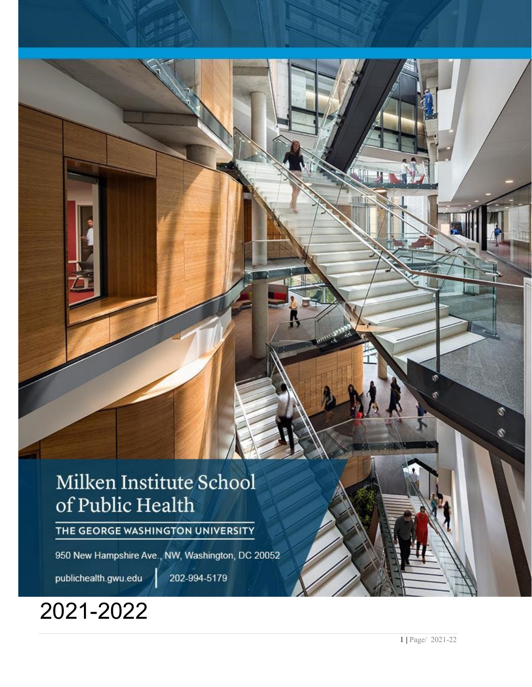# Milken Institute School of Public Health

THE GEORGE WASHINGTON UNIVERSITY

950 New Hampshire Ave., NW, Washington, DC 20052

publichealth.gwu.edu

202-994-5179

# 2021 -2022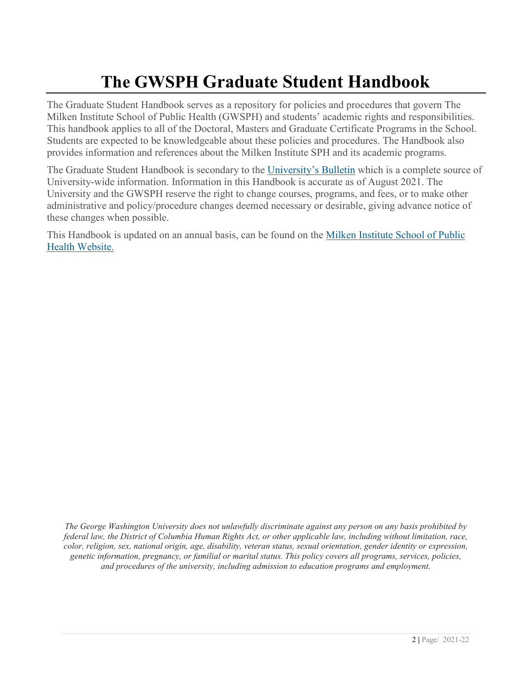## **The GWSPH Graduate Student Handbook**

The Graduate Student Handbook serves as a repository for policies and procedures that govern The Milken Institute School of Public Health (GWSPH) and students' academic rights and responsibilities. This handbook applies to all of the Doctoral, Masters and Graduate Certificate Programs in the School. Students are expected to be knowledgeable about these policies and procedures. The Handbook also provides information and references about the Milken Institute SPH and its academic programs.

The Graduate Student Handbook is secondary to the [University's Bulletin](http://bulletin.gwu.edu/) which is a complete source of University-wide information. Information in this Handbook is accurate as of August 2021. The University and the GWSPH reserve the right to change courses, programs, and fees, or to make other administrative and policy/procedure changes deemed necessary or desirable, giving advance notice of these changes when possible.

This Handbook is updated on an annual basis, can be found on the [Milken Institute School of Public](http://publichealth.gwu.edu/)  [Health Website.](http://publichealth.gwu.edu/)

<span id="page-1-0"></span>*The George Washington University does not unlawfully discriminate against any person on any basis prohibited by federal law, the District of Columbia Human Rights Act, or other applicable law, including without limitation, race, color, religion, sex, national origin, age, disability, veteran status, sexual orientation, gender identity or expression, genetic information, pregnancy, or familial or marital status. This policy covers all programs, services, policies, and procedures of the university, including admission to education programs and employment.*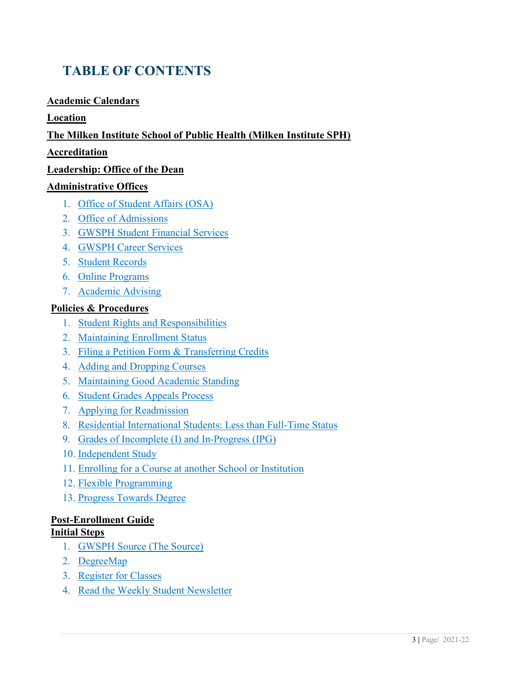### **TABLE OF CONTENTS**

#### **[Academic Calendars](#page-4-0)**

#### **[Location](#page-4-1)**

#### **[The Milken Institute School of Public Health \(Milken Institute SPH\)](#page-4-2)**

#### **[Accreditation](#page-5-0)**

#### **[Leadership: Office of the Dean](#page-5-1)**

#### **[Administrative Offices](#page-6-0)**

- 1. [Office of Student Affairs \(OSA\)](#page-6-1)
- 2. [Office of Admissions](#page-7-0)
- 3. [GWSPH Student Financial Services](#page-8-0)
- 4. [GWSPH Career Services](#page-8-1)
- 5. [Student Records](#page-9-0)
- 6. [Online Programs](#page-10-0)
- 7. [Academic Advising](#page-10-1)

#### **[Policies & Procedures](#page-11-0)**

- 1. [Student Rights and Responsibilities](#page-11-1)
- 2. [Maintaining Enrollment Status](#page-11-2)
- 3. [Filing a Petition Form & Transferring Credits](#page-12-0)
- 4. [Adding and Dropping Courses](#page-14-0)
- 5. [Maintaining Good Academic Standing](#page-14-1)
- 6. [Student Grades Appeals Process](#page-16-0)
- 7. [Applying for Readmission](#page-17-0)
- 8. [Residential International Students: Less than Full-Time Status](#page-19-0)
- 9. [Grades of Incomplete \(I\) and In-Progress \(IPG\)](#page-19-1)
- 10. [Independent Study](#page-19-2)
- 11. [Enrolling for a Course at another School or Institution](#page-20-0)
- 12. [Flexible Programming](#page-20-1)
- 13. [Progress Towards Degree](#page-20-2)

#### **[Post-Enrollment Guide](#page-21-0)**

#### **[Initial Steps](#page-21-1)**

- 1. [GWSPH Source \(The Source\)](#page-21-2)
- 2. [DegreeMap](#page-22-0)
- 3. [Register for Classes](#page-22-1)
- 4. [Read the Weekly Student Newsletter](#page-23-0)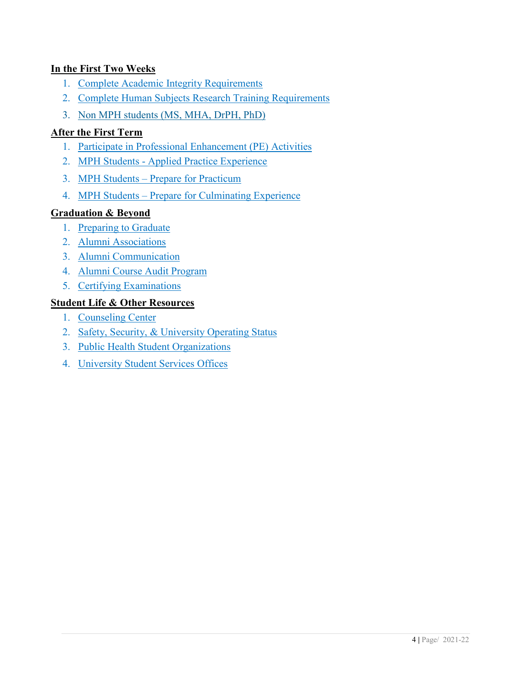#### **[In the First Two Weeks](#page-23-1)**

- 1. [Complete Academic Integrity Requirements](#page-23-2)
- 2. [Complete Human Subjects Research Training Requirements](#page-23-3)
- 3. [Non MPH students \(MS, MHA, DrPH, PhD\)](#page-24-0)

#### **[After the First Term](#page-24-1)**

- 1. [Participate in Professional Enhancement \(PE\) Activities](#page-24-2)
- 2. MPH Students [Applied Practice Experience](#page-25-0)
- 3. MPH Students Prepare for Practicum
- 4. MPH Students [Prepare for Culminating Experience](#page-26-0)

#### **[Graduation & Beyond](#page-27-0)**

- 1. [Preparing to Graduate](#page-27-1)
- 2. [Alumni Associations](#page-28-0)
- 3. [Alumni Communication](#page-28-1)
- 4. [Alumni Course Audit Program](#page-28-2)
- 5. [Certifying Examinations](#page-28-3)

#### **[Student Life & Other Resources](#page-29-0)**

- 1. [Counseling Center](#page-29-1)
- 2. [Safety, Security, & University Operating Status](#page-30-0)
- 3. [Public Health Student Organizations](#page-30-1)
- 4. [University Student Services Offices](#page-30-1)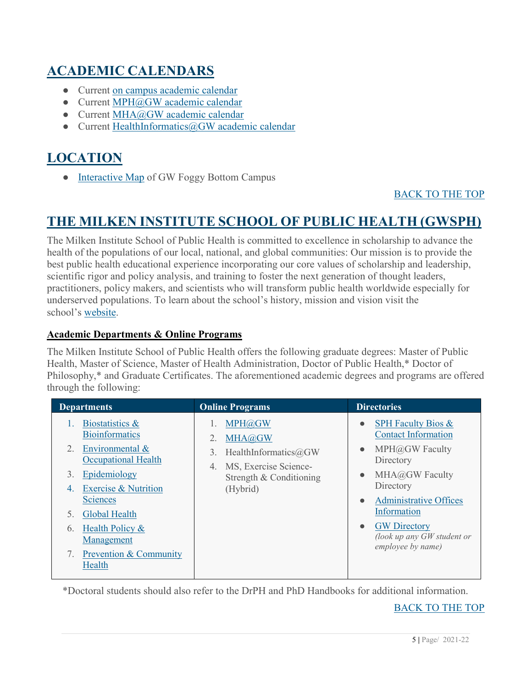### <span id="page-4-0"></span>**ACADEMIC CALENDARS**

- Current [on campus academic calendar](http://www.gwu.edu/academic-calendar)
- Current [MPH@GW academic calendar](https://onlinepublichealth.gwu.edu/mph/academics/)
- Current [MHA@GW academic calendar](https://onlinepublichealth.gwu.edu/mha/academics/)
- Current [HealthInformatics@GW academic calendar](https://drive.google.com/file/d/1nATgEzxhU2bDsdobDkRjPWMzgnJ80W30/view)

### <span id="page-4-1"></span>**LOCATION**

• [Interactive Map](http://virtualtour.gwu.edu/#!UMAP_2013090592962) of GW Foggy Bottom Campus

#### [BACK TO THE TOP](#page-1-0)

### <span id="page-4-2"></span>**THE MILKEN INSTITUTE SCHOOL OF PUBLIC HEALTH (GWSPH)**

The Milken Institute School of Public Health is committed to excellence in scholarship to advance the health of the populations of our local, national, and global communities: Our mission is to provide the best public health educational experience incorporating our core values of scholarship and leadership, scientific rigor and policy analysis, and training to foster the next generation of thought leaders, practitioners, policy makers, and scientists who will transform public health worldwide especially for underserved populations. To learn about the school's history, mission and vision visit the school's [website.](http://publichealth.gwu.edu/)

#### **Academic Departments & Online Programs**

The Milken Institute School of Public Health offers the following graduate degrees: Master of Public Health, Master of Science, Master of Health Administration, Doctor of Public Health,\* Doctor of Philosophy,\* and Graduate Certificates. The aforementioned academic degrees and programs are offered through the following:

| <b>Departments</b>                                                                                                                                                                                                                                                                       | <b>Online Programs</b>                                                                                               | <b>Directories</b>                                                                                                                                                                                                                                                                                        |
|------------------------------------------------------------------------------------------------------------------------------------------------------------------------------------------------------------------------------------------------------------------------------------------|----------------------------------------------------------------------------------------------------------------------|-----------------------------------------------------------------------------------------------------------------------------------------------------------------------------------------------------------------------------------------------------------------------------------------------------------|
| Biostatistics &<br><b>Bioinformatics</b><br>Environmental &<br>2.<br><b>Occupational Health</b><br>Epidemiology<br>3.<br><b>Exercise &amp; Nutrition</b><br>4.<br><b>Sciences</b><br>Global Health<br>Health Policy &<br>6.<br>Management<br><b>Prevention &amp; Community</b><br>Health | MPH@GW<br>MHA@GW<br>HealthInformatics@GW<br>3.<br>MS, Exercise Science-<br>4.<br>Strength & Conditioning<br>(Hybrid) | SPH Faculty Bios &<br>$\bullet$<br><b>Contact Information</b><br>MPH@GW Faculty<br>$\bullet$<br>Directory<br>MHA@GW Faculty<br>$\bullet$<br>Directory<br><b>Administrative Offices</b><br>$\bullet$<br>Information<br><b>GW Directory</b><br>$\bullet$<br>(look up any GW student or<br>employee by name) |
|                                                                                                                                                                                                                                                                                          |                                                                                                                      |                                                                                                                                                                                                                                                                                                           |

\*Doctoral students should also refer to the DrPH and PhD Handbooks for additional information.

#### [BACK TO THE TOP](#page-1-0)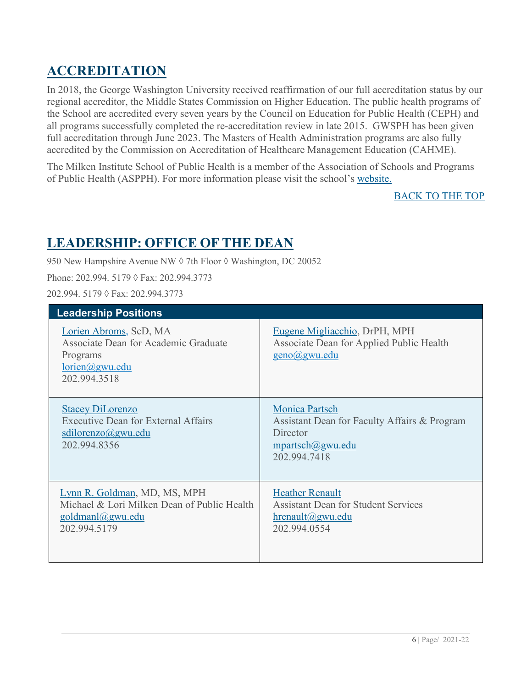### <span id="page-5-0"></span>**ACCREDITATION**

In 2018, the George Washington University received reaffirmation of our full accreditation status by our regional accreditor, the Middle States Commission on Higher Education. The public health programs of the School are accredited every seven years by the Council on Education for Public Health (CEPH) and all programs successfully completed the re-accreditation review in late 2015. GWSPH has been given full accreditation through June 2023. The Masters of Health Administration programs are also fully accredited by the Commission on Accreditation of Healthcare Management Education (CAHME).

The Milken Institute School of Public Health is a member of the Association of Schools and Programs of Public Health (ASPPH). For more information please visit the school's [website.](http://publichealth.gwu.edu/)

[BACK TO THE TOP](#page-1-0)

### <span id="page-5-1"></span>**LEADERSHIP: OFFICE OF THE DEAN**

950 New Hampshire Avenue NW ♦ 7th Floor ♦ Washington, DC 20052

Phone: 202.994. 5179 ◊ Fax: 202.994.3773

202.994. 5179 ◊ Fax: 202.994.3773

| <b>Leadership Positions</b>                                                                                              |                                                                                                                       |
|--------------------------------------------------------------------------------------------------------------------------|-----------------------------------------------------------------------------------------------------------------------|
| Lorien Abroms, ScD, MA<br>Associate Dean for Academic Graduate<br>Programs<br>$lorien(\partial gwu.edu)$<br>202.994.3518 | Eugene Migliacchio, DrPH, MPH<br>Associate Dean for Applied Public Health<br>$geno(\widehat{a})$ gwu.edu              |
| <b>Stacey DiLorenzo</b><br>Executive Dean for External Affairs<br>sdilorenzo@gwu.edu<br>202.994.8356                     | <b>Monica Partsch</b><br>Assistant Dean for Faculty Affairs & Program<br>Director<br>mpartsch@gwu.edu<br>202.994.7418 |
| Lynn R. Goldman, MD, MS, MPH<br>Michael & Lori Milken Dean of Public Health<br>goldmanl@gwu.edu<br>202.994.5179          | <b>Heather Renault</b><br><b>Assistant Dean for Student Services</b><br>$h$ renault $(a)$ gwu.edu<br>202.994.0554     |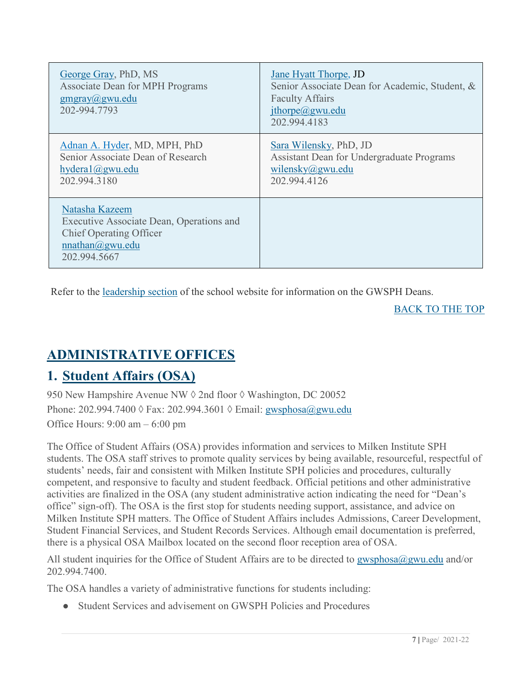| George Gray, PhD, MS<br>Associate Dean for MPH Programs<br>$g$ mgray@gwu.edu<br>202-994.7793                                    | <b>Jane Hyatt Thorpe, JD</b><br>Senior Associate Dean for Academic, Student, &<br><b>Faculty Affairs</b><br>jthorpe@gwu.edu<br>202.994.4183 |
|---------------------------------------------------------------------------------------------------------------------------------|---------------------------------------------------------------------------------------------------------------------------------------------|
| Adnan A. Hyder, MD, MPH, PhD<br>Senior Associate Dean of Research<br>hydrogen@gwu.edu<br>202.994.3180                           | Sara Wilensky, PhD, JD<br>Assistant Dean for Undergraduate Programs<br>wilensky $@g$ wu.edu<br>202.994.4126                                 |
| Natasha Kazeem<br>Executive Associate Dean, Operations and<br><b>Chief Operating Officer</b><br>nnathan@gwu.edu<br>202.994.5667 |                                                                                                                                             |

Refer to the [leadership](https://publichealth.gwu.edu/about/leadership) section of the school website for information on the GWSPH Deans.

<span id="page-6-0"></span>[BACK TO THE TOP](#page-1-0)

### **ADMINISTRATIVE OFFICES**

### <span id="page-6-1"></span>**1. Student Affairs (OSA)**

950 New Hampshire Avenue NW ♦ 2nd floor ♦ Washington, DC 20052 Phone: 202.994.7400 ◊ Fax: 202.994.3601 ◊ Email: [gwsphosa@gwu.edu](about:blank) Office Hours: 9:00 am – 6:00 pm

The Office of Student Affairs (OSA) provides information and services to Milken Institute SPH students. The OSA staff strives to promote quality services by being available, resourceful, respectful of students' needs, fair and consistent with Milken Institute SPH policies and procedures, culturally competent, and responsive to faculty and student feedback. Official petitions and other administrative activities are finalized in the OSA (any student administrative action indicating the need for "Dean's office" sign-off). The OSA is the first stop for students needing support, assistance, and advice on Milken Institute SPH matters. The Office of Student Affairs includes Admissions, Career Development, Student Financial Services, and Student Records Services. Although email documentation is preferred, there is a physical OSA Mailbox located on the second floor reception area of OSA.

All student inquiries for the Office of Student Affairs are to be directed to [gwsphosa@gwu.edu](mailto:gwsphosa@gwu.edu) and/or 202.994.7400.

The OSA handles a variety of administrative functions for students including:

Student Services and advisement on GWSPH Policies and Procedures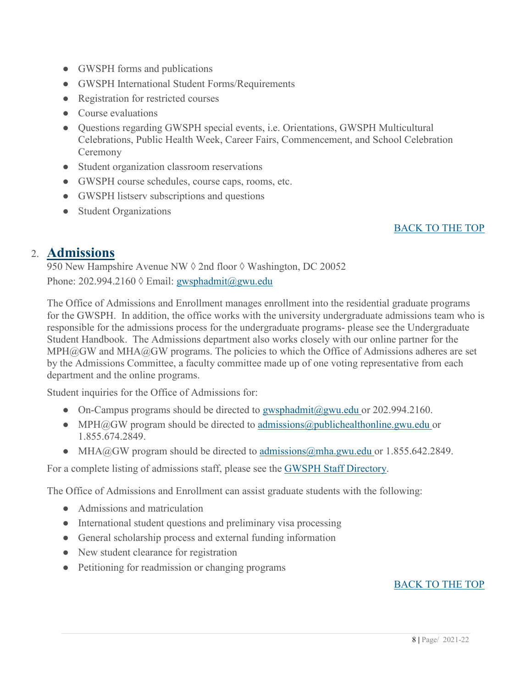- GWSPH forms and publications
- GWSPH International Student Forms/Requirements
- Registration for restricted courses
- Course evaluations
- Questions regarding GWSPH special events, i.e. Orientations, GWSPH Multicultural Celebrations, Public Health Week, Career Fairs, Commencement, and School Celebration Ceremony
- Student organization classroom reservations
- GWSPH course schedules, course caps, rooms, etc.
- GWSPH listserv subscriptions and questions
- Student Organizations

#### [BACK TO THE TOP](#page-1-0)

#### <span id="page-7-0"></span>2. **Admissions**

950 New Hampshire Avenue NW ♦ 2nd floor ♦ Washington, DC 20052 Phone: 202.994.2160  $\Diamond$  Email: [gwsphadmit@gwu.edu](mailto:gwsphadmit@gwu.edu)

The Office of Admissions and Enrollment manages enrollment into the residential graduate programs for the GWSPH. In addition, the office works with the university undergraduate admissions team who is responsible for the admissions process for the undergraduate programs- please see the Undergraduate Student Handbook. The Admissions department also works closely with our online partner for the  $MPH@GW$  and  $MHA@GW$  programs. The policies to which the Office of Admissions adheres are set by the Admissions Committee, a faculty committee made up of one voting representative from each department and the online programs.

Student inquiries for the Office of Admissions for:

- On-Campus programs should be directed to [gwsphadmit@gwu.edu](mailto:gwsphadmit@gwu.edu) or 202.994.2160.
- MPH@GW program should be directed to [admissions@publichealthonline.gwu.edu](mailto:admissions@publichealthonlinegwu.edu) or 1.855.674.2849.
- MHA@GW program should be directed to  $\frac{admissions(@mha.gwu.edu or 1.855.642.2849.$

For a complete listing of admissions staff, please see the [GWSPH Staff Directory.](http://publichealth.gwu.edu/about/administrative-offices)

The Office of Admissions and Enrollment can assist graduate students with the following:

- Admissions and matriculation
- International student questions and preliminary visa processing
- General scholarship process and external funding information
- New student clearance for registration
- Petitioning for readmission or changing programs

#### [BACK TO THE TOP](#page-1-0)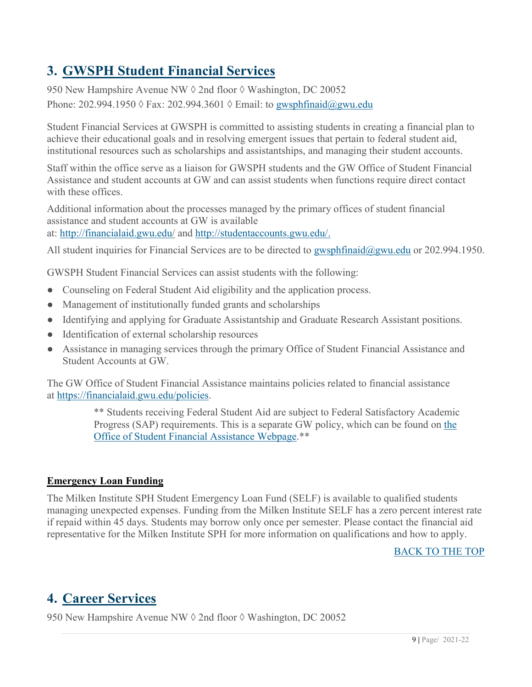### <span id="page-8-0"></span>**3. GWSPH Student Financial Services**

950 New Hampshire Avenue NW ♦ 2nd floor ♦ Washington, DC 20052 Phone: 202.994.1950 ◊ Fax: 202.994.3601 ◊ Email: to [gwsphfinaid@gwu.edu](mailto:gwsphfinaid@gwu.edu)

Student Financial Services at GWSPH is committed to assisting students in creating a financial plan to achieve their educational goals and in resolving emergent issues that pertain to federal student aid, institutional resources such as scholarships and assistantships, and managing their student accounts.

Staff within the office serve as a liaison for GWSPH students and the GW Office of Student Financial Assistance and student accounts at GW and can assist students when functions require direct contact with these offices.

Additional information about the processes managed by the primary offices of student financial assistance and student accounts at GW is available at: [http://financialaid.gwu.edu/](https://financialaid.gwu.edu/) and [http://studentaccounts.gwu.edu/.](http://studentaccounts.gwu.edu/)

All student inquiries for Financial Services are to be directed to [gwsphfinaid@gwu.edu](mailto:gwsphfinaid@gwu.edu) or 202.994.1950.

GWSPH Student Financial Services can assist students with the following:

- Counseling on Federal Student Aid eligibility and the application process.
- Management of institutionally funded grants and scholarships
- Identifying and applying for Graduate Assistantship and Graduate Research Assistant positions.
- Identification of external scholarship resources
- Assistance in managing services through the primary Office of Student Financial Assistance and Student Accounts at GW.

The GW Office of Student Financial Assistance maintains policies related to financial assistance at [https://financialaid.gwu.edu/policies.](https://financialaid.gwu.edu/policies)

> \*\* Students receiving Federal Student Aid are subject to Federal Satisfactory Academic Progress (SAP) requirements. This is a separate GW policy, which can be found on the [Office of Student Financial Assistance Webpage.](http://financialaid.gwu.edu/)\*\*

#### **Emergency Loan Funding**

The Milken Institute SPH Student Emergency Loan Fund (SELF) is available to qualified students managing unexpected expenses. Funding from the Milken Institute SELF has a zero percent interest rate if repaid within 45 days. Students may borrow only once per semester. Please contact the financial aid representative for the Milken Institute SPH for more information on qualifications and how to apply.

[BACK TO THE TOP](#page-1-0)

### <span id="page-8-1"></span>**4. Career Services**

950 New Hampshire Avenue NW ♦ 2nd floor ♦ Washington, DC 20052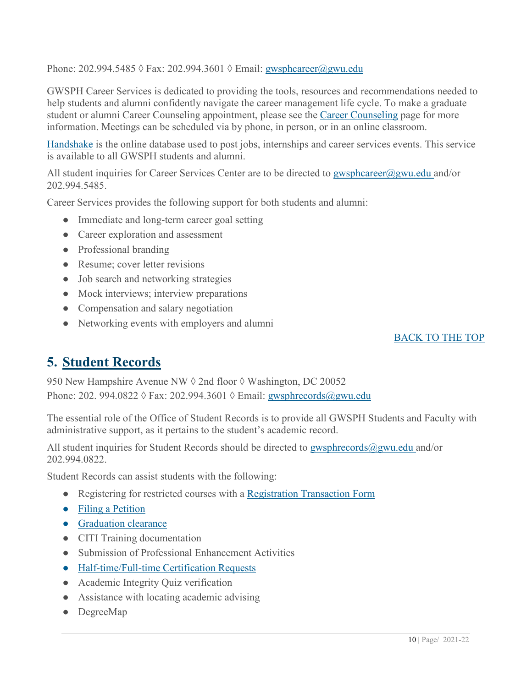Phone: 202.994.5485 ◊ Fax: 202.994.3601 ◊ Email: [gwsphcareer@gwu.edu](mailto:gwsphcareer@gwu.edu)

GWSPH Career Services is dedicated to providing the tools, resources and recommendations needed to help students and alumni confidently navigate the career management life cycle. To make a graduate student or alumni Career Counseling appointment, please see the [Career Counseling](http://publichealth.gwu.edu/services/career-center/counseling) page for more information. Meetings can be scheduled via by phone, in person, or in an online classroom.

[Handshake](https://gwu.joinhandshake.com/) is the online database used to post jobs, internships and career services events. This service is available to all GWSPH students and alumni.

All student inquiries for Career Services Center are to be directed to [gwsphcareer@gwu.edu](mailto:gwsphcareer@gwu.edu) and/or 202.994.5485.

Career Services provides the following support for both students and alumni:

- Immediate and long-term career goal setting
- Career exploration and assessment
- Professional branding
- Resume; cover letter revisions
- Job search and networking strategies
- Mock interviews; interview preparations
- Compensation and salary negotiation
- Networking events with employers and alumni

#### [BACK TO THE TOP](#page-1-0)

### <span id="page-9-0"></span>**5. Student Records**

950 New Hampshire Avenue NW ♦ 2nd floor ♦ Washington, DC 20052 Phone: 202. 994.0822 ◊ Fax: 202.994.3601 ◊ Email: [gwsphrecords@gwu.edu](mailto:gwsphrecords@gwu.edu)

The essential role of the Office of Student Records is to provide all GWSPH Students and Faculty with administrative support, as it pertains to the student's academic record.

All student inquiries for Student Records should be directed to  $g$ wsphrecords $@g$ wu.edu and/or 202.994.0822.

Student Records can assist students with the following:

- Registering for restricted courses with a [Registration Transaction Form](https://publichealth.gwu.edu/sites/default/files/downloads/RTA%202018.pdf)
- [Filing a Petition](https://publichealth.gwu.edu/pdf/graduate_records_petition.pdf)
- [Graduation clearance](https://registrar.gwu.edu/online-graduation-application-instructions)
- CITI Training documentation
- Submission of Professional Enhancement Activities
- [Half-time/Full-time Certification Requests](https://publichealth.gwu.edu/pdf/HTFTcertificationforminstructions.pdf)
- Academic Integrity Quiz verification
- Assistance with locating academic advising
- DegreeMap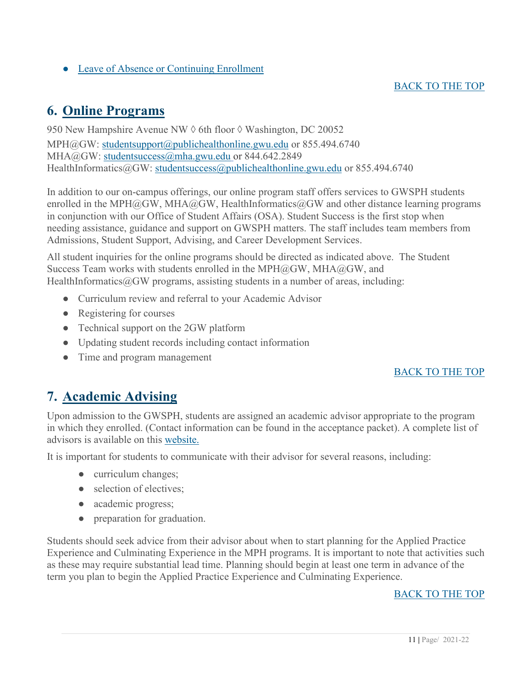● [Leave of Absence or Continuing Enrollment](https://publichealth.gwu.edu/sites/default/files/images/LOA_CE_0.pdf)

#### [BACK TO THE TOP](#page-1-0)

### <span id="page-10-0"></span>**6. Online Programs**

950 New Hampshire Avenue NW  $\Diamond$  6th floor  $\Diamond$  Washington, DC 20052 MPH@GW: [studentsupport@publichealthonline.gwu.edu](about:blank) or 855.494.6740 MHA@GW: [studentsuccess@mha.gwu.edu](mailto:studentsuccess@mha.gwu.edu) or 844.642.2849 HealthInformatics@GW: [studentsuccess@publichealthonline.gwu.edu](mailto:studentsuccess@publichealthonline.gwu.edu) or 855.494.6740

In addition to our on-campus offerings, our online program staff offers services to GWSPH students enrolled in the MPH@GW, MHA@GW, HealthInformatics@GW and other distance learning programs in conjunction with our Office of Student Affairs (OSA). Student Success is the first stop when needing assistance, guidance and support on GWSPH matters. The staff includes team members from Admissions, Student Support, Advising, and Career Development Services.

All student inquiries for the online programs should be directed as indicated above. The Student Success Team works with students enrolled in the MPH $@G$ W, MHA $@G$ W, and HealthInformatics $@GW$  programs, assisting students in a number of areas, including:

- Curriculum review and referral to your Academic Advisor
- Registering for courses
- Technical support on the 2GW platform
- Updating student records including contact information
- Time and program management

#### [BACK TO THE TOP](#page-1-0)

### <span id="page-10-1"></span>**7. Academic Advising**

Upon admission to the GWSPH, students are assigned an academic advisor appropriate to the program in which they enrolled. (Contact information can be found in the acceptance packet). A complete list of advisors is available on this [website.](http://publichealth.gwu.edu/academics/advising)

It is important for students to communicate with their advisor for several reasons, including:

- curriculum changes;
- selection of electives;
- academic progress;
- preparation for graduation.

Students should seek advice from their advisor about when to start planning for the Applied Practice Experience and Culminating Experience in the MPH programs. It is important to note that activities such as these may require substantial lead time. Planning should begin at least one term in advance of the term you plan to begin the Applied Practice Experience and Culminating Experience.

#### [BACK TO THE TOP](#page-1-0)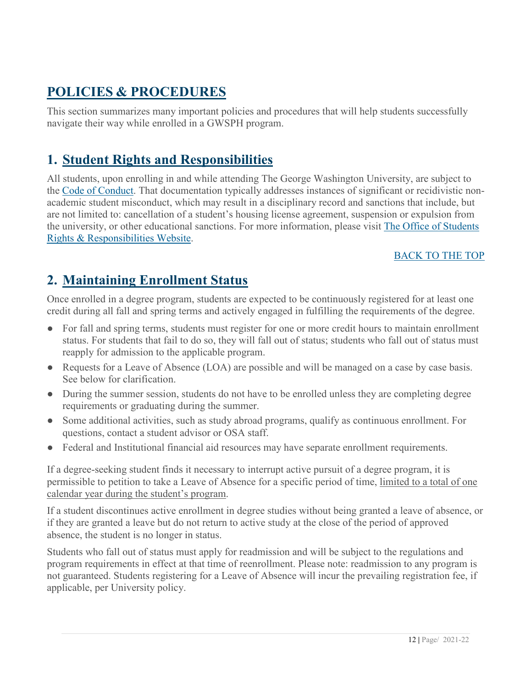### <span id="page-11-0"></span>**POLICIES & PROCEDURES**

This section summarizes many important policies and procedures that will help students successfully navigate their way while enrolled in a GWSPH program.

### <span id="page-11-1"></span>**1. Student Rights and Responsibilities**

All students, upon enrolling in and while attending The George Washington University, are subject to the [Code of Conduct.](https://studentconduct.gwu.edu/code-student-conduct) That documentation typically addresses instances of significant or recidivistic nonacademic student misconduct, which may result in a disciplinary record and sanctions that include, but are not limited to: cancellation of a student's housing license agreement, suspension or expulsion from the university, or other educational sanctions. For more information, please visit [The Office of Students](http://studentconduct.gwu.edu/student-rights-responsibilities)  [Rights & Responsibilities Website.](http://studentconduct.gwu.edu/student-rights-responsibilities)

#### [BACK TO THE TOP](#page-1-0)

### <span id="page-11-2"></span>**2. Maintaining Enrollment Status**

Once enrolled in a degree program, students are expected to be continuously registered for at least one credit during all fall and spring terms and actively engaged in fulfilling the requirements of the degree.

- For fall and spring terms, students must register for one or more credit hours to maintain enrollment status. For students that fail to do so, they will fall out of status; students who fall out of status must reapply for admission to the applicable program.
- Requests for a Leave of Absence (LOA) are possible and will be managed on a case by case basis. See below for clarification.
- During the summer session, students do not have to be enrolled unless they are completing degree requirements or graduating during the summer.
- Some additional activities, such as study abroad programs, qualify as continuous enrollment. For questions, contact a student advisor or OSA staff.
- Federal and Institutional financial aid resources may have separate enrollment requirements.

If a degree-seeking student finds it necessary to interrupt active pursuit of a degree program, it is permissible to petition to take a Leave of Absence for a specific period of time, limited to a total of one calendar year during the student's program.

If a student discontinues active enrollment in degree studies without being granted a leave of absence, or if they are granted a leave but do not return to active study at the close of the period of approved absence, the student is no longer in status.

Students who fall out of status must apply for readmission and will be subject to the regulations and program requirements in effect at that time of reenrollment. Please note: readmission to any program is not guaranteed. Students registering for a Leave of Absence will incur the prevailing registration fee, if applicable, per University policy.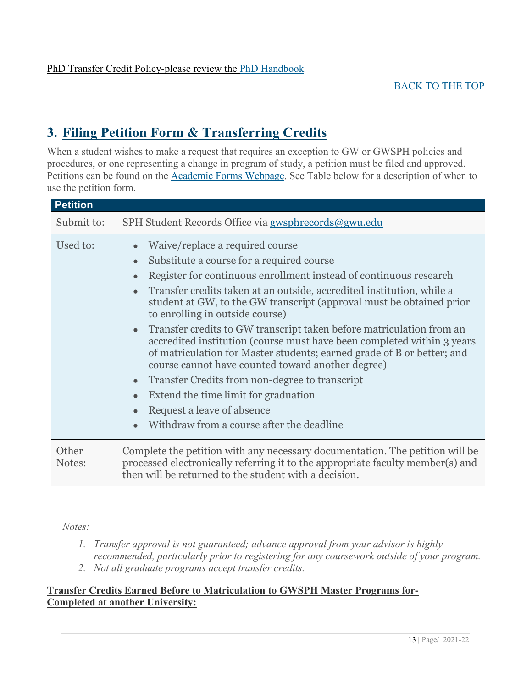### <span id="page-12-0"></span>**3. Filing Petition Form & Transferring Credits**

When a student wishes to make a request that requires an exception to GW or GWSPH policies and procedures, or one representing a change in program of study, a petition must be filed and approved. Petitions can be found on the [Academic Forms Webpage.](http://publichealth.gwu.edu/academics/forms) See Table below for a description of when to use the petition form.

| <b>Petition</b> |                                                                                                                                                                                                                                                                                                                                                                                                                                                                                                                                                                                                                                                                                                                                                                                                                                                                            |
|-----------------|----------------------------------------------------------------------------------------------------------------------------------------------------------------------------------------------------------------------------------------------------------------------------------------------------------------------------------------------------------------------------------------------------------------------------------------------------------------------------------------------------------------------------------------------------------------------------------------------------------------------------------------------------------------------------------------------------------------------------------------------------------------------------------------------------------------------------------------------------------------------------|
| Submit to:      | SPH Student Records Office via gwsphrecords@gwu.edu                                                                                                                                                                                                                                                                                                                                                                                                                                                                                                                                                                                                                                                                                                                                                                                                                        |
| Used to:        | Waive/replace a required course<br>$\bullet$<br>Substitute a course for a required course<br>$\bullet$<br>Register for continuous enrollment instead of continuous research<br>$\bullet$<br>Transfer credits taken at an outside, accredited institution, while a<br>$\bullet$<br>student at GW, to the GW transcript (approval must be obtained prior<br>to enrolling in outside course)<br>Transfer credits to GW transcript taken before matriculation from an<br>$\bullet$<br>accredited institution (course must have been completed within 3 years)<br>of matriculation for Master students; earned grade of B or better; and<br>course cannot have counted toward another degree)<br>Transfer Credits from non-degree to transcript<br>$\bullet$<br>Extend the time limit for graduation<br>Request a leave of absence<br>Withdraw from a course after the deadline |
| Other<br>Notes: | Complete the petition with any necessary documentation. The petition will be<br>processed electronically referring it to the appropriate faculty member(s) and<br>then will be returned to the student with a decision.                                                                                                                                                                                                                                                                                                                                                                                                                                                                                                                                                                                                                                                    |

#### *Notes:*

- *1. Transfer approval is not guaranteed; advance approval from your advisor is highly recommended, particularly prior to registering for any coursework outside of your program.*
- *2. Not all graduate programs accept transfer credits.*

#### **Transfer Credits Earned Before to Matriculation to GWSPH Master Programs for-Completed at another University:**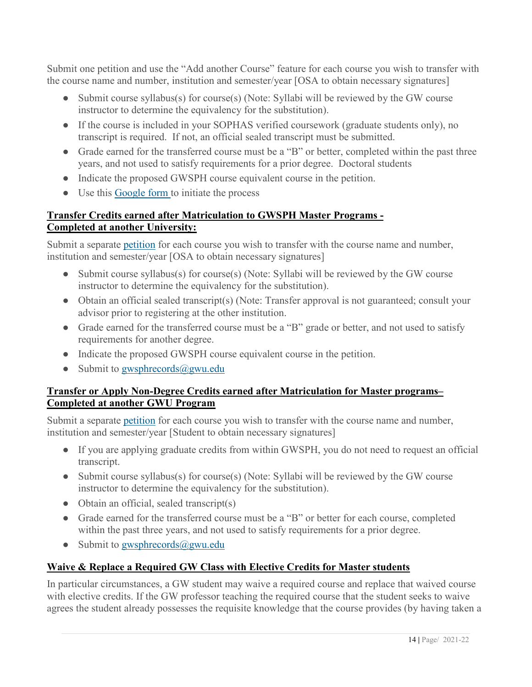Submit one petition and use the "Add another Course" feature for each course you wish to transfer with the course name and number, institution and semester/year [OSA to obtain necessary signatures]

- Submit course syllabus(s) for course(s) (Note: Syllabi will be reviewed by the GW course instructor to determine the equivalency for the substitution).
- If the course is included in your SOPHAS verified coursework (graduate students only), no transcript is required. If not, an official sealed transcript must be submitted.
- Grade earned for the transferred course must be a "B" or better, completed within the past three years, and not used to satisfy requirements for a prior degree. Doctoral students
- Indicate the proposed GWSPH course equivalent course in the petition.
- Use this [Google form t](https://docs.google.com/forms/d/1fHDdOjyXibxXVp1Jw99zAT1NWQlzrjiH7PYSKlpBU4k/edit)o initiate the process

#### **Transfer Credits earned after Matriculation to GWSPH Master Programs - Completed at another University:**

Submit a separate [petition](https://publichealth.gwu.edu/pdf/graduate_records_petition.pdf) for each course you wish to transfer with the course name and number, institution and semester/year [OSA to obtain necessary signatures]

- Submit course syllabus(s) for course(s) (Note: Syllabi will be reviewed by the GW course instructor to determine the equivalency for the substitution).
- Obtain an official sealed transcript(s) (Note: Transfer approval is not guaranteed; consult your advisor prior to registering at the other institution.
- Grade earned for the transferred course must be a "B" grade or better, and not used to satisfy requirements for another degree.
- Indicate the proposed GWSPH course equivalent course in the petition.
- Submit to [gwsphrecords@gwu.edu](mailto:gwsphrecords@gwu.edu)

#### **Transfer or Apply Non-Degree Credits earned after Matriculation for Master programs– Completed at another GWU Program**

Submit a separate [petition](https://publichealth.gwu.edu/pdf/graduate_records_petition.pdf) for each course you wish to transfer with the course name and number, institution and semester/year [Student to obtain necessary signatures]

- If you are applying graduate credits from within GWSPH, you do not need to request an official transcript.
- Submit course syllabus(s) for course(s) (Note: Syllabi will be reviewed by the GW course instructor to determine the equivalency for the substitution).
- Obtain an official, sealed transcript(s)
- Grade earned for the transferred course must be a "B" or better for each course, completed within the past three years, and not used to satisfy requirements for a prior degree.
- Submit to gwsphrecords $(\partial g$ gwu.edu

#### **Waive & Replace a Required GW Class with Elective Credits for Master students**

In particular circumstances, a GW student may waive a required course and replace that waived course with elective credits. If the GW professor teaching the required course that the student seeks to waive agrees the student already possesses the requisite knowledge that the course provides (by having taken a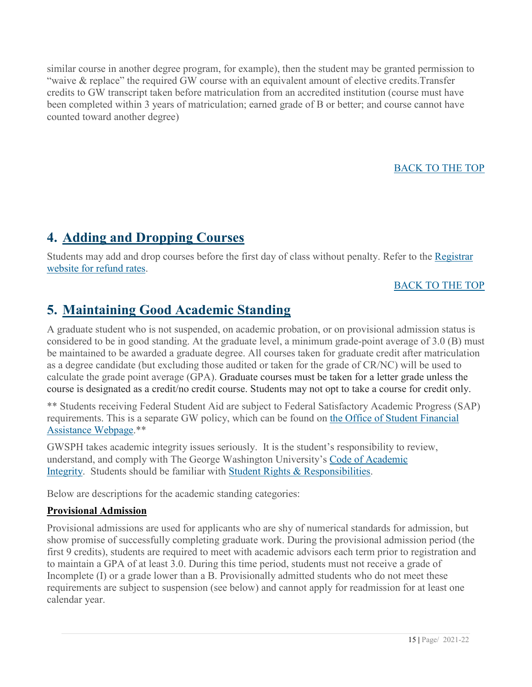similar course in another degree program, for example), then the student may be granted permission to "waive & replace" the required GW course with an equivalent amount of elective credits.Transfer credits to GW transcript taken before matriculation from an accredited institution (course must have been completed within 3 years of matriculation; earned grade of B or better; and course cannot have counted toward another degree)

#### [BACK TO THE TOP](#page-1-0)

### <span id="page-14-0"></span>**4. Adding and Dropping Courses**

Students may add and drop courses before the first day of class without penalty. Refer to the [Registrar](https://registrar.gwu.edu/withdrawals-refunds)  [website for refund rates.](https://registrar.gwu.edu/withdrawals-refunds)

#### [BACK TO THE TOP](#page-1-0)

### <span id="page-14-1"></span>**5. Maintaining Good Academic Standing**

A graduate student who is not suspended, on academic probation, or on provisional admission status is considered to be in good standing. At the graduate level, a minimum grade-point average of 3.0 (B) must be maintained to be awarded a graduate degree. All courses taken for graduate credit after matriculation as a degree candidate (but excluding those audited or taken for the grade of CR/NC) will be used to calculate the grade point average (GPA). Graduate courses must be taken for a letter grade unless the course is designated as a credit/no credit course. Students may not opt to take a course for credit only.

\*\* Students receiving Federal Student Aid are subject to Federal Satisfactory Academic Progress (SAP) requirements. This is a separate GW policy, which can be found on [the Office of Student Financial](http://financialaid.gwu.edu/)  [Assistance Webpage.](http://financialaid.gwu.edu/)\*\*

GWSPH takes academic integrity issues seriously. It is the student's responsibility to review, understand, and comply with The George Washington University's [Code of Academic](https://studentconduct.gwu.edu/code-academic-integrity)  [Integrity.](https://studentconduct.gwu.edu/code-academic-integrity) Students should be familiar with [Student Rights & Responsibilities.](https://studentconduct.gwu.edu/)

Below are descriptions for the academic standing categories:

#### **Provisional Admission**

Provisional admissions are used for applicants who are shy of numerical standards for admission, but show promise of successfully completing graduate work. During the provisional admission period (the first 9 credits), students are required to meet with academic advisors each term prior to registration and to maintain a GPA of at least 3.0. During this time period, students must not receive a grade of Incomplete (I) or a grade lower than a B. Provisionally admitted students who do not meet these requirements are subject to suspension (see below) and cannot apply for readmission for at least one calendar year.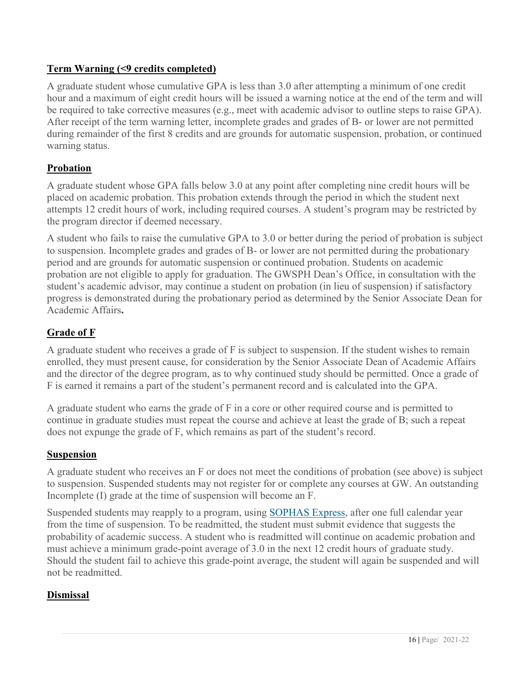#### **Term Warning (<9 credits completed)**

A graduate student whose cumulative GPA is less than 3.0 after attempting a minimum of one credit hour and a maximum of eight credit hours will be issued a warning notice at the end of the term and will be required to take corrective measures (e.g., meet with academic advisor to outline steps to raise GPA). After receipt of the term warning letter, incomplete grades and grades of B- or lower are not permitted during remainder of the first 8 credits and are grounds for automatic suspension, probation, or continued warning status.

#### **Probation**

A graduate student whose GPA falls below 3.0 at any point after completing nine credit hours will be placed on academic probation. This probation extends through the period in which the student next attempts 12 credit hours of work, including required courses. A student's program may be restricted by the program director if deemed necessary.

A student who fails to raise the cumulative GPA to 3.0 or better during the period of probation is subject to suspension. Incomplete grades and grades of B- or lower are not permitted during the probationary period and are grounds for automatic suspension or continued probation. Students on academic probation are not eligible to apply for graduation. The GWSPH Dean's Office, in consultation with the student's academic advisor, may continue a student on probation (in lieu of suspension) if satisfactory progress is demonstrated during the probationary period as determined by the Senior Associate Dean for Academic Affairs**.**

#### **Grade of F**

A graduate student who receives a grade of F is subject to suspension. If the student wishes to remain enrolled, they must present cause, for consideration by the Senior Associate Dean of Academic Affairs and the director of the degree program, as to why continued study should be permitted. Once a grade of F is earned it remains a part of the student's permanent record and is calculated into the GPA.

A graduate student who earns the grade of F in a core or other required course and is permitted to continue in graduate studies must repeat the course and achieve at least the grade of B; such a repeat does not expunge the grade of F, which remains as part of the student's record.

#### **Suspension**

A graduate student who receives an F or does not meet the conditions of probation (see above) is subject to suspension. Suspended students may not register for or complete any courses at GW. An outstanding Incomplete (I) grade at the time of suspension will become an F.

Suspended students may reapply to a program, using [SOPHAS Express,](https://sophasexpress.liaisoncas.com/) after one full calendar year from the time of suspension. To be readmitted, the student must submit evidence that suggests the probability of academic success. A student who is readmitted will continue on academic probation and must achieve a minimum grade-point average of 3.0 in the next 12 credit hours of graduate study. Should the student fail to achieve this grade-point average, the student will again be suspended and will not be readmitted.

#### **Dismissal**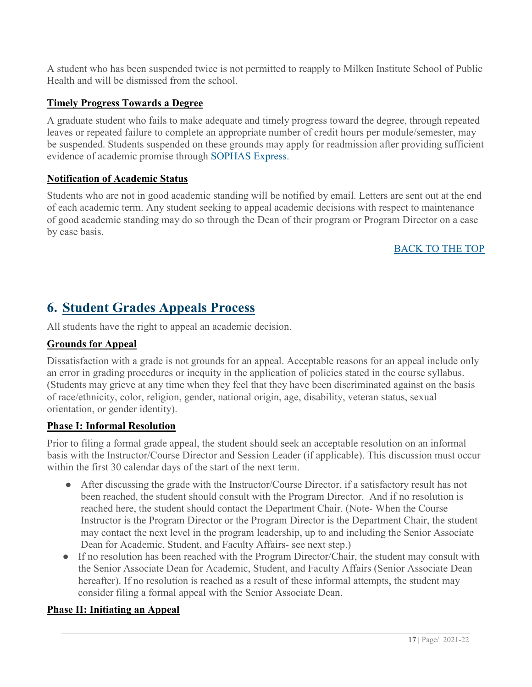A student who has been suspended twice is not permitted to reapply to Milken Institute School of Public Health and will be dismissed from the school.

#### **Timely Progress Towards a Degree**

A graduate student who fails to make adequate and timely progress toward the degree, through repeated leaves or repeated failure to complete an appropriate number of credit hours per module/semester, may be suspended. Students suspended on these grounds may apply for readmission after providing sufficient evidence of academic promise through [SOPHAS Express.](https://sophasexpress.liaisoncas.com/applicant-ux/#/login)

#### **Notification of Academic Status**

Students who are not in good academic standing will be notified by email. Letters are sent out at the end of each academic term. Any student seeking to appeal academic decisions with respect to maintenance of good academic standing may do so through the Dean of their program or Program Director on a case by case basis.

#### [BACK TO THE TOP](#page-1-0)

### <span id="page-16-0"></span>**6. Student Grades Appeals Process**

All students have the right to appeal an academic decision.

#### **Grounds for Appeal**

Dissatisfaction with a grade is not grounds for an appeal. Acceptable reasons for an appeal include only an error in grading procedures or inequity in the application of policies stated in the course syllabus. (Students may grieve at any time when they feel that they have been discriminated against on the basis of race/ethnicity, color, religion, gender, national origin, age, disability, veteran status, sexual orientation, or gender identity).

#### **Phase I: Informal Resolution**

Prior to filing a formal grade appeal, the student should seek an acceptable resolution on an informal basis with the Instructor/Course Director and Session Leader (if applicable). This discussion must occur within the first 30 calendar days of the start of the next term.

- After discussing the grade with the Instructor/Course Director, if a satisfactory result has not been reached, the student should consult with the Program Director. And if no resolution is reached here, the student should contact the Department Chair. (Note- When the Course Instructor is the Program Director or the Program Director is the Department Chair, the student may contact the next level in the program leadership, up to and including the Senior Associate Dean for Academic, Student, and Faculty Affairs- see next step.)
- If no resolution has been reached with the Program Director/Chair, the student may consult with the Senior Associate Dean for Academic, Student, and Faculty Affairs (Senior Associate Dean hereafter). If no resolution is reached as a result of these informal attempts, the student may consider filing a formal appeal with the Senior Associate Dean.

#### **Phase II: Initiating an Appeal**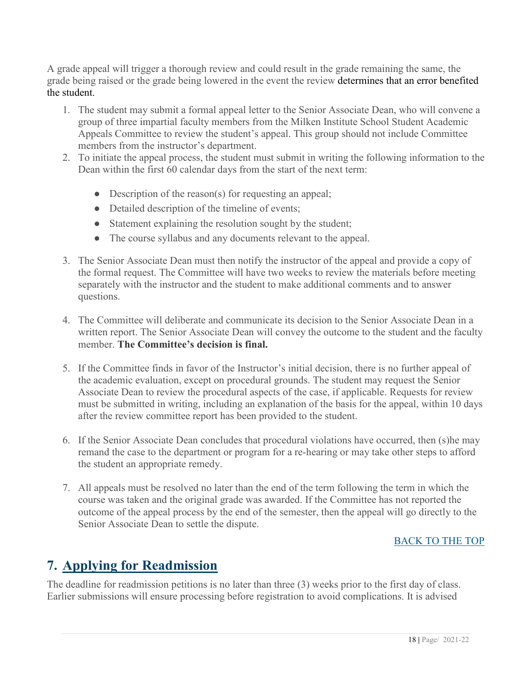A grade appeal will trigger a thorough review and could result in the grade remaining the same, the grade being raised or the grade being lowered in the event the review determines that an error benefited the student.

- 1. The student may submit a formal appeal letter to the Senior Associate Dean, who will convene a group of three impartial faculty members from the Milken Institute School Student Academic Appeals Committee to review the student's appeal. This group should not include Committee members from the instructor's department.
- 2. To initiate the appeal process, the student must submit in writing the following information to the Dean within the first 60 calendar days from the start of the next term:
	- Description of the reason(s) for requesting an appeal;
	- Detailed description of the timeline of events;
	- Statement explaining the resolution sought by the student;
	- The course syllabus and any documents relevant to the appeal.
- 3. The Senior Associate Dean must then notify the instructor of the appeal and provide a copy of the formal request. The Committee will have two weeks to review the materials before meeting separately with the instructor and the student to make additional comments and to answer questions.
- 4. The Committee will deliberate and communicate its decision to the Senior Associate Dean in a written report. The Senior Associate Dean will convey the outcome to the student and the faculty member. **The Committee's decision is final.**
- 5. If the Committee finds in favor of the Instructor's initial decision, there is no further appeal of the academic evaluation, except on procedural grounds. The student may request the Senior Associate Dean to review the procedural aspects of the case, if applicable. Requests for review must be submitted in writing, including an explanation of the basis for the appeal, within 10 days after the review committee report has been provided to the student.
- 6. If the Senior Associate Dean concludes that procedural violations have occurred, then (s)he may remand the case to the department or program for a re-hearing or may take other steps to afford the student an appropriate remedy.
- 7. All appeals must be resolved no later than the end of the term following the term in which the course was taken and the original grade was awarded. If the Committee has not reported the outcome of the appeal process by the end of the semester, then the appeal will go directly to the Senior Associate Dean to settle the dispute.

#### [BACK TO THE TOP](#page-1-0)

### <span id="page-17-0"></span>**7. Applying for Readmission**

The deadline for readmission petitions is no later than three (3) weeks prior to the first day of class. Earlier submissions will ensure processing before registration to avoid complications. It is advised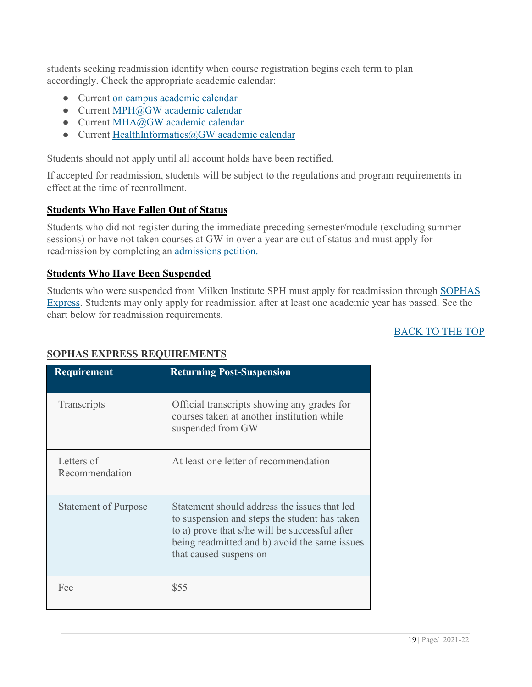students seeking readmission identify when course registration begins each term to plan accordingly. Check the appropriate academic calendar:

- Current [on campus academic calendar](http://www.gwu.edu/academic-calendar)
- Current [MPH@GW academic calendar](https://onlinepublichealth.gwu.edu/mph/academics/)
- Current [MHA@GW academic calendar](https://onlinepublichealth.gwu.edu/mha/academics/)
- Current [HealthInformatics@GW academic calendar](https://drive.google.com/file/d/1nATgEzxhU2bDsdobDkRjPWMzgnJ80W30/view)

Students should not apply until all account holds have been rectified.

If accepted for readmission, students will be subject to the regulations and program requirements in effect at the time of reenrollment.

#### **Students Who Have Fallen Out of Status**

Students who did not register during the immediate preceding semester/module (excluding summer sessions) or have not taken courses at GW in over a year are out of status and must apply for readmission by completing an [admissions petition.](http://publichealth.gwu.edu/content/graduate-admissions-petitions)

#### **Students Who Have Been Suspended**

Students who were suspended from Milken Institute SPH must apply for readmission through [SOPHAS](https://sophasexpress.liaisoncas.com/applicant-ux/#/login)  [Express.](https://sophasexpress.liaisoncas.com/applicant-ux/#/login) Students may only apply for readmission after at least one academic year has passed. See the chart below for readmission requirements.

#### [BACK TO THE](#page-1-0) TOP

| <b>Requirement</b>           | <b>Returning Post-Suspension</b>                                                                                                                                                                                           |
|------------------------------|----------------------------------------------------------------------------------------------------------------------------------------------------------------------------------------------------------------------------|
| Transcripts                  | Official transcripts showing any grades for<br>courses taken at another institution while<br>suspended from GW                                                                                                             |
| Letters of<br>Recommendation | At least one letter of recommendation                                                                                                                                                                                      |
| <b>Statement of Purpose</b>  | Statement should address the issues that led<br>to suspension and steps the student has taken<br>to a) prove that s/he will be successful after<br>being readmitted and b) avoid the same issues<br>that caused suspension |
| Fee                          | \$55                                                                                                                                                                                                                       |

#### **SOPHAS EXPRESS REQUIREMENTS**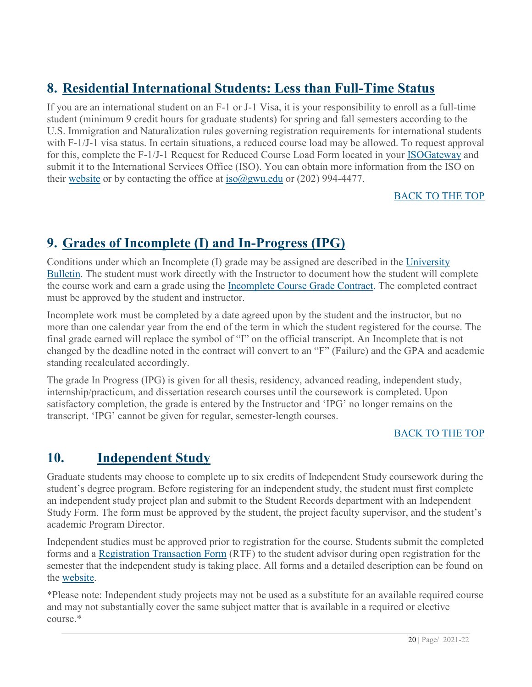### <span id="page-19-0"></span>**8. Residential International Students: Less than Full-Time Status**

If you are an international student on an F-1 or J-1 Visa, it is your responsibility to enroll as a full-time student (minimum 9 credit hours for graduate students) for spring and fall semesters according to the U.S. Immigration and Naturalization rules governing registration requirements for international students with F-1/J-1 visa status. In certain situations, a reduced course load may be allowed. To request approval for this, complete the F-1/J-1 Request for Reduced Course Load Form located in your [ISOGateway](https://isogateway.gwu.edu/istart/controllers/start/StartEngine.cfm) and submit it to the International Services Office (ISO). You can obtain more information from the ISO on their [website](http://internationalservices.gwu.edu/) or by contacting the office at iso $\omega$ gwu.edu or (202) 994-4477.

#### [BACK TO THE TOP](#page-1-0)

### <span id="page-19-1"></span>**9. Grades of Incomplete (I) and In-Progress (IPG)**

Conditions under which an Incomplete (I) grade may be assigned are described in the [University](http://bulletin.gwu.edu/university-regulations/)  [Bulletin.](http://bulletin.gwu.edu/university-regulations/) The student must work directly with the Instructor to document how the student will complete the course work and earn a grade using the [Incomplete Course Grade Contract.](https://publichealth.gwu.edu/content/incomplete-course-grade-contract) The completed contract must be approved by the student and instructor.

Incomplete work must be completed by a date agreed upon by the student and the instructor, but no more than one calendar year from the end of the term in which the student registered for the course. The final grade earned will replace the symbol of "I" on the official transcript. An Incomplete that is not changed by the deadline noted in the contract will convert to an "F" (Failure) and the GPA and academic standing recalculated accordingly.

The grade In Progress (IPG) is given for all thesis, residency, advanced reading, independent study, internship/practicum, and dissertation research courses until the coursework is completed. Upon satisfactory completion, the grade is entered by the Instructor and 'IPG' no longer remains on the transcript. 'IPG' cannot be given for regular, semester-length courses.

#### [BACK TO THE TOP](#page-1-0)

### <span id="page-19-2"></span>**10. Independent Study**

Graduate students may choose to complete up to six credits of Independent Study coursework during the student's degree program. Before registering for an independent study, the student must first complete an independent study project plan and submit to the Student Records department with an Independent Study Form. The form must be approved by the student, the project faculty supervisor, and the student's academic Program Director.

Independent studies must be approved prior to registration for the course. Students submit the completed forms and a [Registration Transaction Form](https://registrar.gwu.edu/sites/registrar.gwu.edu/files/downloads/reg_transaction_form.pdf) (RTF) to the student advisor during open registration for the semester that the independent study is taking place. All forms and a detailed description can be found on the [website.](http://publichealth.gwu.edu/academics/forms)

\*Please note: Independent study projects may not be used as a substitute for an available required course and may not substantially cover the same subject matter that is available in a required or elective course.\*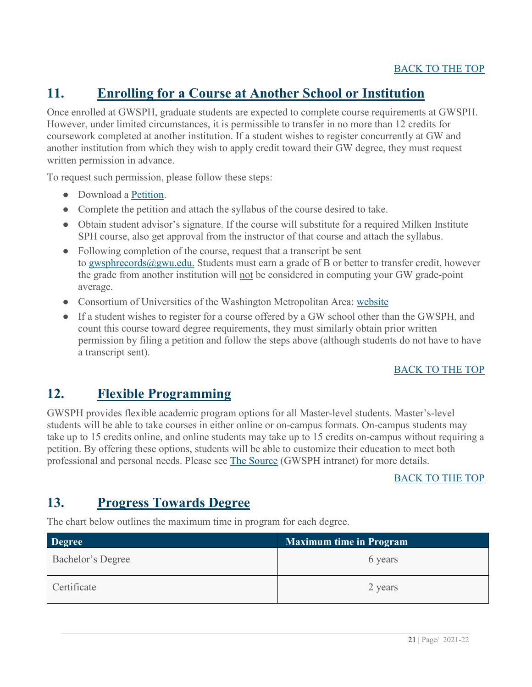### <span id="page-20-0"></span>**11. Enrolling for a Course at Another School or Institution**

Once enrolled at GWSPH, graduate students are expected to complete course requirements at GWSPH. However, under limited circumstances, it is permissible to transfer in no more than 12 credits for coursework completed at another institution. If a student wishes to register concurrently at GW and another institution from which they wish to apply credit toward their GW degree, they must request written permission in advance.

To request such permission, please follow these steps:

- Download a [Petition.](http://publichealth.gwu.edu/content/graduate-admissions-petitions)
- Complete the petition and attach the syllabus of the course desired to take.
- Obtain student advisor's signature. If the course will substitute for a required Milken Institute SPH course, also get approval from the instructor of that course and attach the syllabus.
- Following completion of the course, request that a transcript be sent to [gwsphrecords@gwu.edu.](mailto:gwsphrecords@gwu.edu) Students must earn a grade of B or better to transfer credit, however the grade from another institution will not be considered in computing your GW grade-point average.
- Consortium of Universities of the Washington Metropolitan Area: [website](http://www.consortium.org/)
- If a student wishes to register for a course offered by a GW school other than the GWSPH, and count this course toward degree requirements, they must similarly obtain prior written permission by filing a petition and follow the steps above (although students do not have to have a transcript sent).

#### [BACK TO THE TOP](#page-1-0)

### <span id="page-20-1"></span>**12. Flexible Programming**

GWSPH provides flexible academic program options for all Master-level students. Master's-level students will be able to take courses in either online or on-campus formats. On-campus students may take up to 15 credits online, and online students may take up to 15 credits on-campus without requiring a petition. By offering these options, students will be able to customize their education to meet both professional and personal needs. Please see [The Source](https://source.publichealth.gwu.edu/resources-finder/pdf/masters-degree-flexible-program-faqs) (GWSPH intranet) for more details.

#### [BACK TO THE TOP](#page-1-0)

### <span id="page-20-2"></span>**13. Progress Towards Degree**

The chart below outlines the maximum time in program for each degree.

| <b>Degree</b>            | <b>Maximum time in Program</b> |
|--------------------------|--------------------------------|
| <b>Bachelor's Degree</b> | 6 years                        |
| Certificate              | 2 years                        |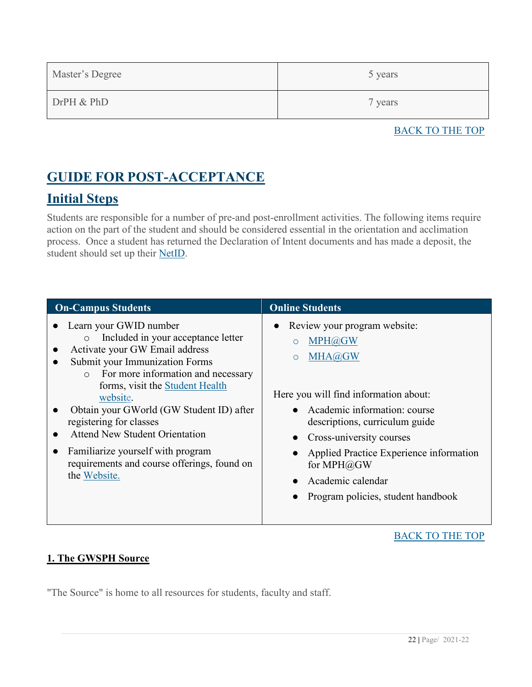| Master's Degree | 5 years |
|-----------------|---------|
| DrPH & PhD      | 7 years |

#### BACK TO THE TOP

### <span id="page-21-0"></span>**GUIDE FOR POST-ACCEPTANCE**

### <span id="page-21-1"></span>**Initial Steps**

Students are responsible for a number of pre-and post-enrollment activities. The following items require action on the part of the student and should be considered essential in the orientation and acclimation process. Once a student has returned the Declaration of Intent documents and has made a deposit, the student should set up their [NetID.](http://gwid.gwu.edu/)

| <b>On-Campus Students</b>                   | <b>Online Students</b>                  |
|---------------------------------------------|-----------------------------------------|
| Learn your GWID number                      | Review your program website:            |
| Included in your acceptance letter          | $\bullet$                               |
| $\circ$                                     | MPH@GW                                  |
| Activate your GW Email address              | $\circ$                                 |
| Submit your Immunization Forms              | MHA@GW                                  |
| For more information and necessary          | $\circ$                                 |
| $\circ$                                     | Here you will find information about:   |
| forms, visit the Student Health             | • Academic information: course          |
| website.                                    | descriptions, curriculum guide          |
| Obtain your GWorld (GW Student ID) after    | • Cross-university courses              |
| registering for classes                     | Applied Practice Experience information |
| <b>Attend New Student Orientation</b>       | for MPH@GW                              |
| Familiarize yourself with program           | Academic calendar                       |
| requirements and course offerings, found on | $\bullet$                               |
| the Website.                                | Program policies, student handbook      |

#### [BACK TO THE TOP](#page-1-0)

#### <span id="page-21-2"></span>**1. The GWSPH Source**

"The Source" is home to all resources for students, faculty and staff.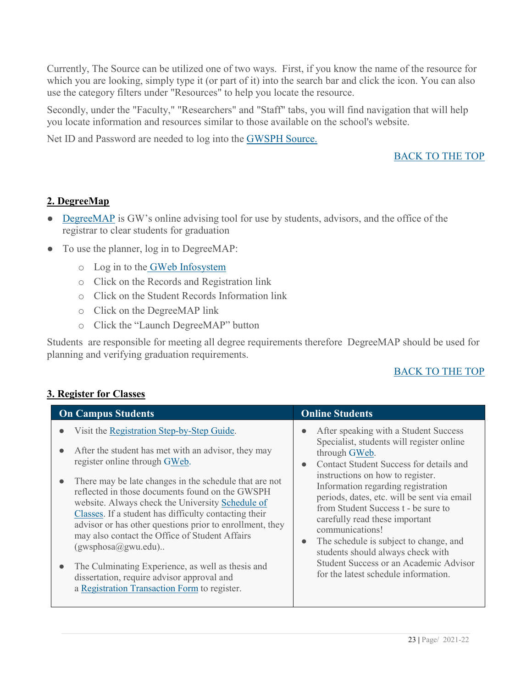Currently, The Source can be utilized one of two ways. First, if you know the name of the resource for which you are looking, simply type it (or part of it) into the search bar and click the icon. You can also use the category filters under "Resources" to help you locate the resource.

Secondly, under the "Faculty," "Researchers" and "Staff" tabs, you will find navigation that will help you locate information and resources similar to those available on the school's website.

Net ID and Password are needed to log into the [GWSPH Source.](http://publichealth.gwu.edu/content/gwsph-source)

#### [BACK TO THE TOP](#page-1-0)

#### <span id="page-22-0"></span>**2. DegreeMap**

- [DegreeMAP](https://registrar.gwu.edu/degreemap) is GW's online advising tool for use by students, advisors, and the office of the registrar to clear students for graduation
- To use the planner, log in to DegreeMAP:
	- o Log in to the [GWeb Infosystem](https://banweb.gwu.edu/)
	- o Click on the Records and Registration link
	- o Click on the Student Records Information link
	- o Click on the DegreeMAP link
	- o Click the "Launch DegreeMAP" button

Students are responsible for meeting all degree requirements therefore DegreeMAP should be used for planning and verifying graduation requirements.

#### [BACK TO THE TOP](#page-1-0)

| <b>On Campus Students</b>                                                                                                                                                                                                                                                                                                                                                                                                                                                                                                                                                                                                                           | <b>Online Students</b>                                                                                                                                                                                                                                                                                                                                                                                                                                                                                                                                                             |
|-----------------------------------------------------------------------------------------------------------------------------------------------------------------------------------------------------------------------------------------------------------------------------------------------------------------------------------------------------------------------------------------------------------------------------------------------------------------------------------------------------------------------------------------------------------------------------------------------------------------------------------------------------|------------------------------------------------------------------------------------------------------------------------------------------------------------------------------------------------------------------------------------------------------------------------------------------------------------------------------------------------------------------------------------------------------------------------------------------------------------------------------------------------------------------------------------------------------------------------------------|
| Visit the Registration Step-by-Step Guide.<br>After the student has met with an advisor, they may<br>register online through GWeb.<br>There may be late changes in the schedule that are not<br>reflected in those documents found on the GWSPH<br>website. Always check the University Schedule of<br>Classes. If a student has difficulty contacting their<br>advisor or has other questions prior to enrollment, they<br>may also contact the Office of Student Affairs<br>(gwsphosa@gwu.edu)<br>The Culminating Experience, as well as thesis and<br>dissertation, require advisor approval and<br>a Registration Transaction Form to register. | After speaking with a Student Success<br>$\bullet$<br>Specialist, students will register online<br>through GWeb.<br>Contact Student Success for details and<br>$\bullet$<br>instructions on how to register.<br>Information regarding registration<br>periods, dates, etc. will be sent via email<br>from Student Success t - be sure to<br>carefully read these important<br>communications!<br>The schedule is subject to change, and<br>$\bullet$<br>students should always check with<br><b>Student Success or an Academic Advisor</b><br>for the latest schedule information. |

#### <span id="page-22-1"></span>**3. Register for Classes**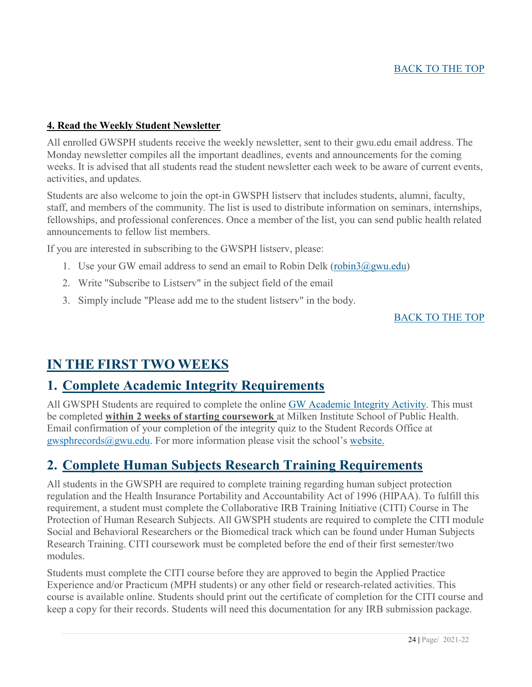#### <span id="page-23-0"></span>**4. Read the Weekly Student Newsletter**

All enrolled GWSPH students receive the weekly newsletter, sent to their gwu.edu email address. The Monday newsletter compiles all the important deadlines, events and announcements for the coming weeks. It is advised that all students read the student newsletter each week to be aware of current events, activities, and updates.

Students are also welcome to join the opt-in GWSPH listserv that includes students, alumni, faculty, staff, and members of the community. The list is used to distribute information on seminars, internships, fellowships, and professional conferences. Once a member of the list, you can send public health related announcements to fellow list members.

If you are interested in subscribing to the GWSPH listserv, please:

- 1. Use your GW email address to send an email to Robin Delk [\(robin3@gwu.edu\)](mailto:robin3@gwu.edu)
- 2. Write "Subscribe to Listserv" in the subject field of the email
- 3. Simply include "Please add me to the student listserv" in the body.

#### [BACK TO THE TOP](#page-1-0)

### <span id="page-23-1"></span>**IN THE FIRST TWO WEEKS**

#### <span id="page-23-2"></span>**1. Complete Academic Integrity Requirements**

All GWSPH Students are required to complete the online [GW Academic Integrity Activity.](http://publichealth.gwu.edu/integrity#GW%20Integrity) This must be completed **within 2 weeks of starting coursework** at Milken Institute School of Public Health. Email confirmation of your completion of the integrity quiz to the Student Records Office at [gwsphrecords@gwu.edu.](mailto:gwsphrecords@gwu.edu) For more information please visit the school's [website.](http://publichealth.gwu.edu/integrity)

### <span id="page-23-3"></span>**2. Complete Human Subjects Research Training Requirements**

All students in the GWSPH are required to complete training regarding human subject protection regulation and the Health Insurance Portability and Accountability Act of 1996 (HIPAA). To fulfill this requirement, a student must complete the Collaborative IRB Training Initiative (CITI) Course in The Protection of Human Research Subjects. All GWSPH students are required to complete the CITI module Social and Behavioral Researchers or the Biomedical track which can be found under Human Subjects Research Training. CITI coursework must be completed before the end of their first semester/two modules.

Students must complete the CITI course before they are approved to begin the Applied Practice Experience and/or Practicum (MPH students) or any other field or research-related activities. This course is available online. Students should print out the certificate of completion for the CITI course and keep a copy for their records. Students will need this documentation for any IRB submission package.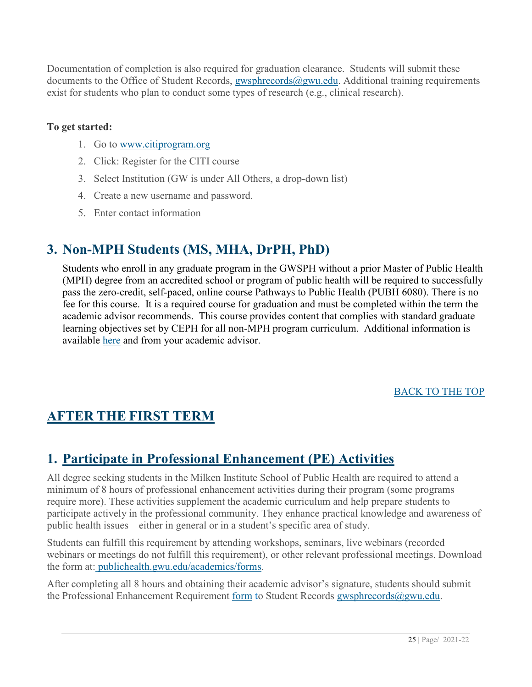Documentation of completion is also required for graduation clearance. Students will submit these documents to the Office of Student Records, gwsphrecords@gwu.edu. Additional training requirements exist for students who plan to conduct some types of research (e.g., clinical research).

#### **To get started:**

- 1. Go to [www.citiprogram.org](http://www.citiprogram.org/)
- 2. Click: Register for the CITI course
- 3. Select Institution (GW is under All Others, a drop-down list)
- 4. Create a new username and password.
- 5. Enter contact information

### <span id="page-24-0"></span>**3. Non-MPH Students (MS, MHA, DrPH, PhD)**

Students who enroll in any graduate program in the GWSPH without a prior Master of Public Health (MPH) degree from an accredited school or program of public health will be required to successfully pass the zero-credit, self-paced, online course Pathways to Public Health (PUBH 6080). There is no fee for this course. It is a required course for graduation and must be completed within the term the academic advisor recommends. This course provides content that complies with standard graduate learning objectives set by CEPH for all non-MPH program curriculum. Additional information is available [here](https://publichealth.gwu.edu/academics/advising) and from your academic advisor.

[BACK TO THE TOP](#page-1-0)

### <span id="page-24-1"></span>**AFTER THE FIRST TERM**

### <span id="page-24-2"></span>**1. Participate in Professional Enhancement (PE) Activities**

All degree seeking students in the Milken Institute School of Public Health are required to attend a minimum of 8 hours of professional enhancement activities during their program (some programs require more). These activities supplement the academic curriculum and help prepare students to participate actively in the professional community. They enhance practical knowledge and awareness of public health issues – either in general or in a student's specific area of study.

Students can fulfill this requirement by attending workshops, seminars, live webinars (recorded webinars or meetings do not fulfill this requirement), or other relevant professional meetings. Download the form at: [publichealth.gwu.edu/academics/forms.](http://publichealth.gwu.edu/academics/forms)

After completing all 8 hours and obtaining their academic advisor's signature, students should submit the Professional Enhancement Requirement [form](https://publichealth.gwu.edu/sites/default/files/gwsph-professional-enhancement-policy-form.pdf) to Student Records [gwsphrecords@gwu.edu.](mailto:gwsphrecords@gwu.edu)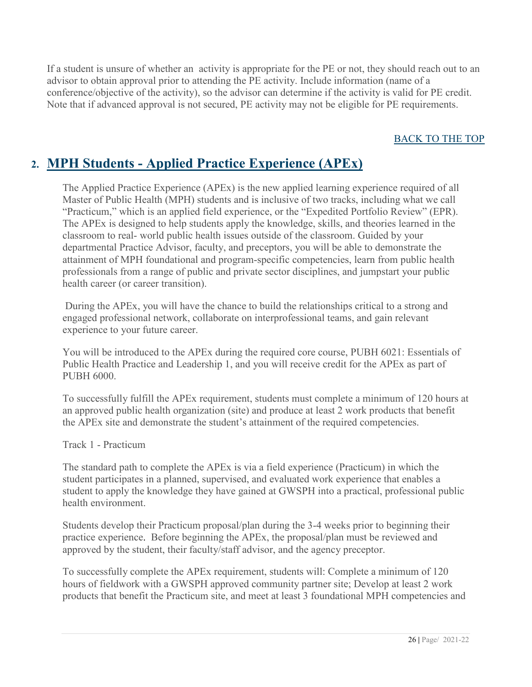If a student is unsure of whether an activity is appropriate for the PE or not, they should reach out to an advisor to obtain approval prior to attending the PE activity. Include information (name of a conference/objective of the activity), so the advisor can determine if the activity is valid for PE credit. Note that if advanced approval is not secured, PE activity may not be eligible for PE requirements.

#### [BACK TO THE TOP](#page-1-0)

### <span id="page-25-0"></span>**2. MPH Students - Applied Practice Experience (APEx)**

The Applied Practice Experience (APEx) is the new applied learning experience required of all Master of Public Health (MPH) students and is inclusive of two tracks, including what we call "Practicum," which is an applied field experience, or the "Expedited Portfolio Review" (EPR). The APEx is designed to help students apply the knowledge, skills, and theories learned in the classroom to real- world public health issues outside of the classroom. Guided by your departmental Practice Advisor, faculty, and preceptors, you will be able to demonstrate the attainment of MPH foundational and program-specific competencies, learn from public health professionals from a range of public and private sector disciplines, and jumpstart your public health career (or career transition).

During the APEx, you will have the chance to build the relationships critical to a strong and engaged professional network, collaborate on interprofessional teams, and gain relevant experience to your future career.

You will be introduced to the APEx during the required core course, PUBH 6021: Essentials of Public Health Practice and Leadership 1, and you will receive credit for the APEx as part of PUBH 6000.

To successfully fulfill the APEx requirement, students must complete a minimum of 120 hours at an approved public health organization (site) and produce at least 2 work products that benefit the APEx site and demonstrate the student's attainment of the required competencies.

Track 1 - Practicum

The standard path to complete the APEx is via a field experience (Practicum) in which the student participates in a planned, supervised, and evaluated work experience that enables a student to apply the knowledge they have gained at GWSPH into a practical, professional public health environment.

Students develop their Practicum proposal/plan during the 3-4 weeks prior to beginning their practice experience. Before beginning the APEx, the proposal/plan must be reviewed and approved by the student, their faculty/staff advisor, and the agency preceptor.

To successfully complete the APEx requirement, students will: Complete a minimum of 120 hours of fieldwork with a GWSPH approved community partner site; Develop at least 2 work products that benefit the Practicum site, and meet at least 3 foundational MPH competencies and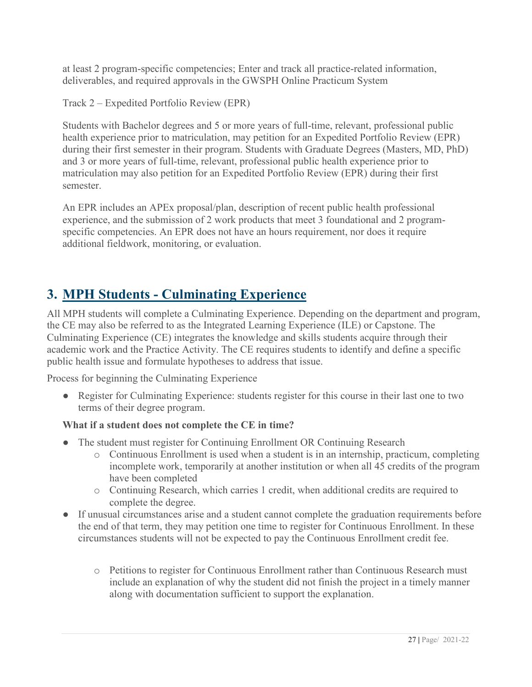at least 2 program-specific competencies; Enter and track all practice-related information, deliverables, and required approvals in the GWSPH Online Practicum System

Track 2 – Expedited Portfolio Review (EPR)

Students with Bachelor degrees and 5 or more years of full-time, relevant, professional public health experience prior to matriculation, may petition for an Expedited Portfolio Review (EPR) during their first semester in their program. Students with Graduate Degrees (Masters, MD, PhD) and 3 or more years of full-time, relevant, professional public health experience prior to matriculation may also petition for an Expedited Portfolio Review (EPR) during their first semester.

An EPR includes an APEx proposal/plan, description of recent public health professional experience, and the submission of 2 work products that meet 3 foundational and 2 programspecific competencies. An EPR does not have an hours requirement, nor does it require additional fieldwork, monitoring, or evaluation.

### <span id="page-26-0"></span>**3. MPH Students - Culminating Experience**

All MPH students will complete a Culminating Experience. Depending on the department and program, the CE may also be referred to as the Integrated Learning Experience (ILE) or Capstone. The Culminating Experience (CE) integrates the knowledge and skills students acquire through their academic work and the Practice Activity. The CE requires students to identify and define a specific public health issue and formulate hypotheses to address that issue.

Process for beginning the Culminating Experience

• Register for Culminating Experience: students register for this course in their last one to two terms of their degree program.

#### **What if a student does not complete the CE in time?**

- The student must register for Continuing Enrollment OR Continuing Research
	- o Continuous Enrollment is used when a student is in an internship, practicum, completing incomplete work, temporarily at another institution or when all 45 credits of the program have been completed
	- o Continuing Research, which carries 1 credit, when additional credits are required to complete the degree.
- If unusual circumstances arise and a student cannot complete the graduation requirements before the end of that term, they may petition one time to register for Continuous Enrollment. In these circumstances students will not be expected to pay the Continuous Enrollment credit fee.
	- o Petitions to register for Continuous Enrollment rather than Continuous Research must include an explanation of why the student did not finish the project in a timely manner along with documentation sufficient to support the explanation.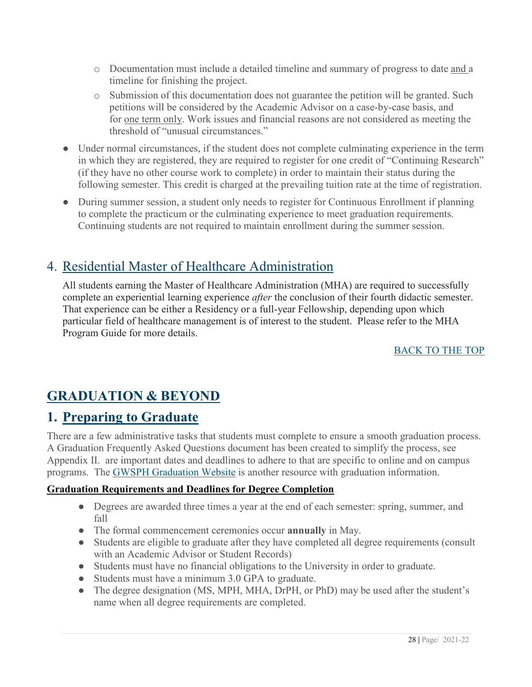- o Documentation must include a detailed timeline and summary of progress to date and a timeline for finishing the project.
- o Submission of this documentation does not guarantee the petition will be granted. Such petitions will be considered by the Academic Advisor on a case-by-case basis, and for one term only. Work issues and financial reasons are not considered as meeting the threshold of "unusual circumstances."
- Under normal circumstances, if the student does not complete culminating experience in the term in which they are registered, they are required to register for one credit of "Continuing Research" (if they have no other course work to complete) in order to maintain their status during the following semester. This credit is charged at the prevailing tuition rate at the time of registration.
- During summer session, a student only needs to register for Continuous Enrollment if planning to complete the practicum or the culminating experience to meet graduation requirements. Continuing students are not required to maintain enrollment during the summer session.

### 4. Residential Master of Healthcare Administration

All students earning the Master of Healthcare Administration (MHA) are required to successfully complete an experiential learning experience *after* the conclusion of their fourth didactic semester. That experience can be either a Residency or a full-year Fellowship, depending upon which particular field of healthcare management is of interest to the student. Please refer to the MHA Program Guide for more details.

#### [BACK TO THE TOP](#page-1-0)

### <span id="page-27-0"></span>**GRADUATION & BEYOND**

### <span id="page-27-1"></span>**1. Preparing to Graduate**

There are a few administrative tasks that students must complete to ensure a smooth graduation process. A Graduation Frequently Asked Questions document has been created to simplify the process, see Appendix II. are important dates and deadlines to adhere to that are specific to online and on campus programs. The [GWSPH Graduation Website](http://publichealth.gwu.edu/academics/graduation) is another resource with graduation information.

#### **Graduation Requirements and Deadlines for Degree Completion**

- Degrees are awarded three times a year at the end of each semester: spring, summer, and fall
- The formal commencement ceremonies occur **annually** in May.
- Students are eligible to graduate after they have completed all degree requirements (consult with an Academic Advisor or Student Records)
- Students must have no financial obligations to the University in order to graduate.
- Students must have a minimum 3.0 GPA to graduate.
- The degree designation (MS, MPH, MHA, DrPH, or PhD) may be used after the student's name when all degree requirements are completed.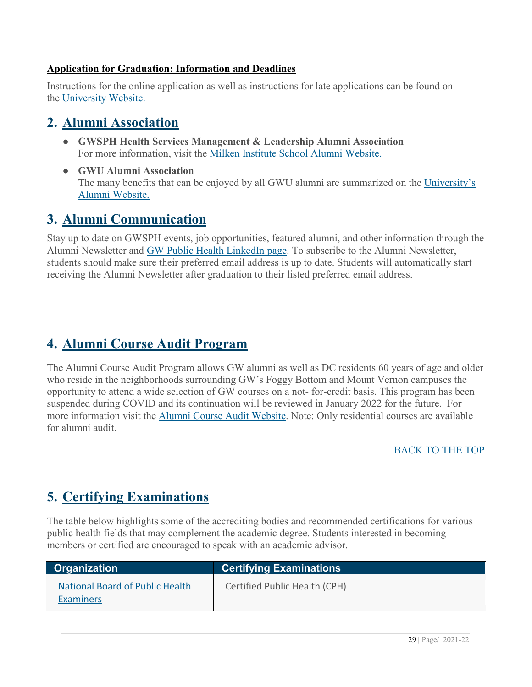#### **Application for Graduation: Information and Deadlines**

Instructions for the online application as well as instructions for late applications can be found on the [University Website.](http://registrar.gwu.edu/graduation)

### <span id="page-28-0"></span>**2. Alumni Association**

- **GWSPH Health Services Management & Leadership Alumni Association** For more information, visit the [Milken Institute School Alumni Website.](http://publichealth.gwu.edu/services/alumni)
- **GWU Alumni Association** The many benefits that can be enjoyed by all GWU alumni are summarized on the [University's](http://alumni.gwu.edu/gw-alumni-association)  [Alumni Website.](http://alumni.gwu.edu/gw-alumni-association)

### <span id="page-28-1"></span>**3. Alumni Communication**

Stay up to date on GWSPH events, job opportunities, featured alumni, and other information through the Alumni Newsletter and [GW Public Health LinkedIn page.](https://www.linkedin.com/groups/4096989/) To subscribe to the Alumni Newsletter, students should make sure their preferred email address is up to date. Students will automatically start receiving the Alumni Newsletter after graduation to their listed preferred email address.

### <span id="page-28-2"></span>**4. Alumni Course Audit Program**

The Alumni Course Audit Program allows GW alumni as well as DC residents 60 years of age and older who reside in the neighborhoods surrounding GW's Foggy Bottom and Mount Vernon campuses the opportunity to attend a wide selection of GW courses on a not- for-credit basis. This program has been suspended during COVID and its continuation will be reviewed in January 2022 for the future. For more information visit the [Alumni Course Audit Website.](https://alumni.gwu.edu/alumni-course-audit-program) Note: Only residential courses are available for alumni audit.

#### [BACK TO THE TOP](#page-1-0)

### <span id="page-28-3"></span>**5. Certifying Examinations**

The table below highlights some of the accrediting bodies and recommended certifications for various public health fields that may complement the academic degree. Students interested in becoming members or certified are encouraged to speak with an academic advisor.

| <b>Organization</b>                                 | <b>Certifying Examinations</b> |
|-----------------------------------------------------|--------------------------------|
| National Board of Public Health<br><b>Examiners</b> | Certified Public Health (CPH)  |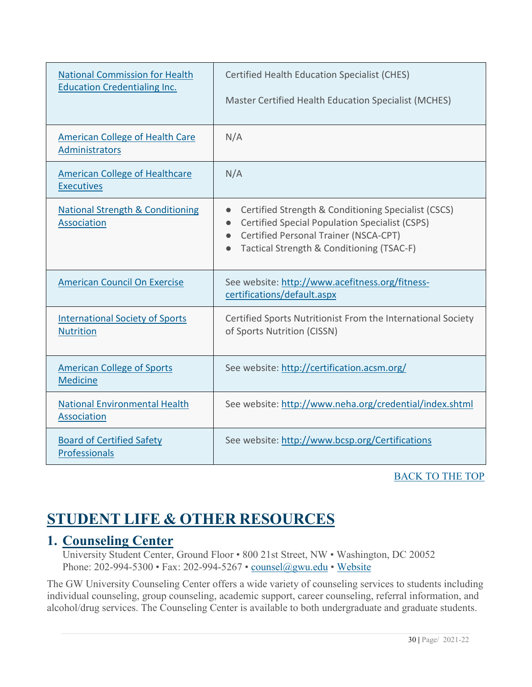| <b>National Commission for Health</b><br><b>Education Credentialing Inc.</b> | <b>Certified Health Education Specialist (CHES)</b><br>Master Certified Health Education Specialist (MCHES)                                                                                                                                            |
|------------------------------------------------------------------------------|--------------------------------------------------------------------------------------------------------------------------------------------------------------------------------------------------------------------------------------------------------|
| <b>American College of Health Care</b><br>Administrators                     | N/A                                                                                                                                                                                                                                                    |
| <b>American College of Healthcare</b><br><b>Executives</b>                   | N/A                                                                                                                                                                                                                                                    |
| <b>National Strength &amp; Conditioning</b><br>Association                   | Certified Strength & Conditioning Specialist (CSCS)<br>$\bullet$<br><b>Certified Special Population Specialist (CSPS)</b><br>$\bullet$<br>Certified Personal Trainer (NSCA-CPT)<br>$\bullet$<br>Tactical Strength & Conditioning (TSAC-F)<br>$\bullet$ |
| <b>American Council On Exercise</b>                                          | See website: http://www.acefitness.org/fitness-<br>certifications/default.aspx                                                                                                                                                                         |
| <b>International Society of Sports</b><br><b>Nutrition</b>                   | Certified Sports Nutritionist From the International Society<br>of Sports Nutrition (CISSN)                                                                                                                                                            |
| <b>American College of Sports</b><br><b>Medicine</b>                         | See website: http://certification.acsm.org/                                                                                                                                                                                                            |
| <b>National Environmental Health</b><br>Association                          | See website: http://www.neha.org/credential/index.shtml                                                                                                                                                                                                |
| <b>Board of Certified Safety</b><br>Professionals                            | See website: http://www.bcsp.org/Certifications                                                                                                                                                                                                        |

#### [BACK TO THE TOP](#page-1-0)

## <span id="page-29-0"></span>**STUDENT LIFE & OTHER RESOURCES**

### <span id="page-29-1"></span>**1. Counseling Center**

University Student Center, Ground Floor • 800 21st Street, NW • Washington, DC 20052 Phone: 202-994-5300 • Fax: 202-994-5267 • [counsel@gwu.edu](mailto:counsel@gwu.edu) • [Website](http://counselingcenter.gwu.edu/)

The GW University Counseling Center offers a wide variety of counseling services to students including individual counseling, group counseling, academic support, career counseling, referral information, and alcohol/drug services. The Counseling Center is available to both undergraduate and graduate students.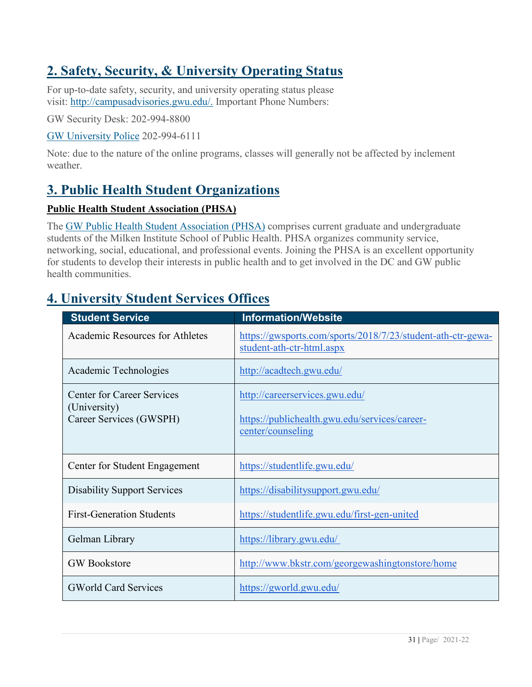### <span id="page-30-0"></span>**2. Safety, Security, & University Operating Status**

For up-to-date safety, security, and university operating status please visit: [http://campusadvisories.gwu.edu/.](http://campusadvisories.gwu.edu/) Important Phone Numbers:

GW Security Desk: 202-994-8800

[GW University Police](http://police.gwu.edu/) 202-994-6111

Note: due to the nature of the online programs, classes will generally not be affected by inclement weather.

### <span id="page-30-1"></span>**3. Public Health Student Organizations**

#### **Public Health Student Association (PHSA)**

The [GW Public Health Student Association \(PHSA\)](https://www.facebook.com/pg/GWPHSA/about/?ref=page_internal) comprises current graduate and undergraduate students of the Milken Institute School of Public Health. PHSA organizes community service, networking, social, educational, and professional events. Joining the PHSA is an excellent opportunity for students to develop their interests in public health and to get involved in the DC and GW public health communities.

| <b>Student Service</b>                                                       | <b>Information/Website</b>                                                                           |
|------------------------------------------------------------------------------|------------------------------------------------------------------------------------------------------|
| Academic Resources for Athletes                                              | https://gwsports.com/sports/2018/7/23/student-ath-ctr-gewa-<br>student-ath-ctr-html.aspx             |
| Academic Technologies                                                        | http://acadtech.gwu.edu/                                                                             |
| <b>Center for Career Services</b><br>(University)<br>Career Services (GWSPH) | http://careerservices.gwu.edu/<br>https://publichealth.gwu.edu/services/career-<br>center/counseling |
| Center for Student Engagement                                                | https://studentlife.gwu.edu/                                                                         |
| <b>Disability Support Services</b>                                           | https://disabilitysupport.gwu.edu/                                                                   |
| <b>First-Generation Students</b>                                             | https://studentlife.gwu.edu/first-gen-united                                                         |
| Gelman Library                                                               | https://library.gwu.edu/                                                                             |
| <b>GW</b> Bookstore                                                          | http://www.bkstr.com/georgewashingtonstore/home                                                      |
| <b>GWorld Card Services</b>                                                  | https://gworld.gwu.edu/                                                                              |

### **4. University Student Services Offices**